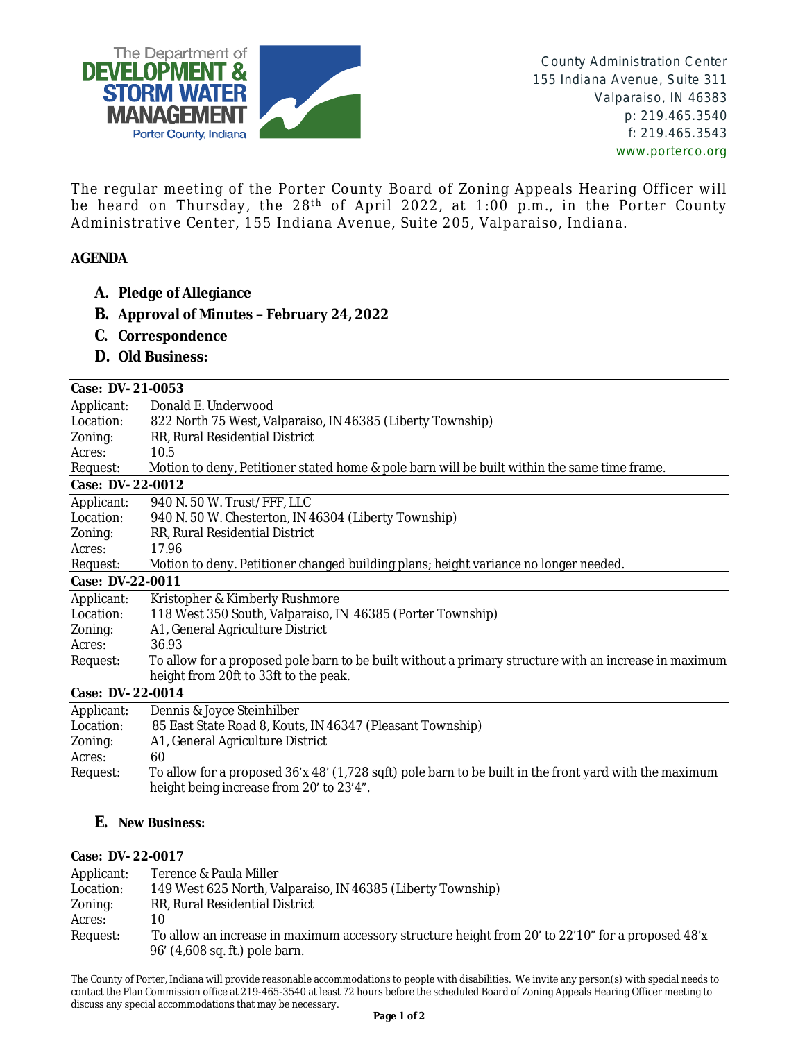

The regular meeting of the Porter County Board of Zoning Appeals Hearing Officer will be heard on Thursday, the 28<sup>th</sup> of April 2022, at 1:00 p.m., in the Porter County Administrative Center, 155 Indiana Avenue, Suite 205, Valparaiso, Indiana.

## **AGENDA**

- **A. Pledge of Allegiance**
- **B. Approval of Minutes – February 24, 2022**
- **C. Correspondence**
- **D. Old Business:**

| <b>Case: DV-21-0053</b> |                                                                                                                                                    |
|-------------------------|----------------------------------------------------------------------------------------------------------------------------------------------------|
| Applicant:              | Donald E. Underwood                                                                                                                                |
| Location:               | 822 North 75 West, Valparaiso, IN 46385 (Liberty Township)                                                                                         |
| Zoning:                 | RR, Rural Residential District                                                                                                                     |
| Acres:                  | 10.5                                                                                                                                               |
| Request:                | Motion to deny, Petitioner stated home & pole barn will be built within the same time frame.                                                       |
| Case: DV-22-0012        |                                                                                                                                                    |
| Applicant:              | 940 N. 50 W. Trust/FFF, LLC                                                                                                                        |
| Location:               | 940 N. 50 W. Chesterton, IN 46304 (Liberty Township)                                                                                               |
| Zoning:                 | RR, Rural Residential District                                                                                                                     |
| Acres:                  | 17.96                                                                                                                                              |
| Request:                | Motion to deny. Petitioner changed building plans; height variance no longer needed.                                                               |
| <b>Case: DV-22-0011</b> |                                                                                                                                                    |
| Applicant:              | Kristopher & Kimberly Rushmore                                                                                                                     |
| Location:               | 118 West 350 South, Valparaiso, IN 46385 (Porter Township)                                                                                         |
| Zoning:                 | A1, General Agriculture District                                                                                                                   |
| Acres:                  | 36.93                                                                                                                                              |
| Request:                | To allow for a proposed pole barn to be built without a primary structure with an increase in maximum                                              |
|                         | height from 20ft to 33ft to the peak.                                                                                                              |
| <b>Case: DV-22-0014</b> |                                                                                                                                                    |
| Applicant:              | Dennis & Joyce Steinhilber                                                                                                                         |
| Location:               | 85 East State Road 8, Kouts, IN 46347 (Pleasant Township)                                                                                          |
| Zoning:                 | A1, General Agriculture District                                                                                                                   |
| Acres:                  | 60                                                                                                                                                 |
| Request:                | To allow for a proposed 36'x 48' (1,728 sqft) pole barn to be built in the front yard with the maximum<br>height being increase from 20' to 23'4". |
|                         |                                                                                                                                                    |

## **E. New Business:**

## **Case: DV- 22-0017**

| Applicant: | Terence & Paula Miller                                                                                                              |
|------------|-------------------------------------------------------------------------------------------------------------------------------------|
| Location:  | 149 West 625 North, Valparaiso, IN 46385 (Liberty Township)                                                                         |
| Zoning:    | RR, Rural Residential District                                                                                                      |
| Acres:     | 10                                                                                                                                  |
| Request:   | To allow an increase in maximum accessory structure height from 20' to 22'10" for a proposed 48'x<br>96' (4,608 sq. ft.) pole barn. |

The County of Porter, Indiana will provide reasonable accommodations to people with disabilities. We invite any person(s) with special needs to contact the Plan Commission office at 219-465-3540 at least 72 hours before the scheduled Board of Zoning Appeals Hearing Officer meeting to discuss any special accommodations that may be necessary.